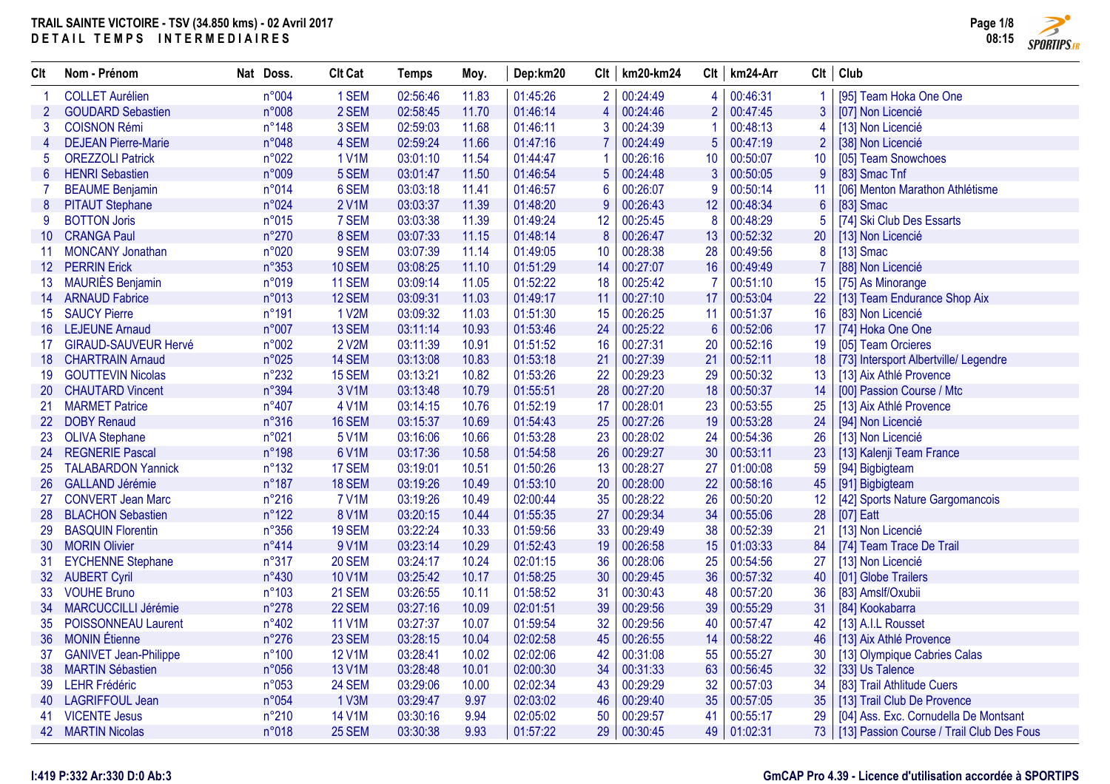

| <b>Clt</b>      | Nom - Prénom                 | Nat<br>Doss.   | <b>Clt Cat</b> | <b>Temps</b> | Moy.  | Dep:km20 | Clt              | km20-km24 | Clt            | km24-Arr    | Clt             | Club                                           |
|-----------------|------------------------------|----------------|----------------|--------------|-------|----------|------------------|-----------|----------------|-------------|-----------------|------------------------------------------------|
|                 | <b>COLLET Aurélien</b>       | n°004          | 1 SEM          | 02:56:46     | 11.83 | 01:45:26 | 2 <sup>1</sup>   | 00:24:49  | 4              | 00:46:31    |                 | [95] Team Hoka One One                         |
| $\overline{2}$  | <b>GOUDARD Sebastien</b>     | n°008          | 2 SEM          | 02:58:45     | 11.70 | 01:46:14 | $\overline{4}$   | 00:24:46  | $\overline{2}$ | 00:47:45    | 3               | [07] Non Licencié                              |
| 3               | <b>COISNON Rémi</b>          | $n^{\circ}148$ | 3 SEM          | 02:59:03     | 11.68 | 01:46:11 | 3                | 00:24:39  | 1              | 00:48:13    | 4               | [13] Non Licencié                              |
| 4               | <b>DEJEAN Pierre-Marie</b>   | n°048          | 4 SEM          | 02:59:24     | 11.66 | 01:47:16 |                  | 00:24:49  | $\overline{5}$ | 00:47:19    |                 | [38] Non Licencié                              |
| 5               | <b>OREZZOLI Patrick</b>      | n°022          | <b>1 V1M</b>   | 03:01:10     | 11.54 | 01:44:47 |                  | 00:26:16  | 10             | 00:50:07    | 10 <sup>°</sup> | [05] Team Snowchoes                            |
| $6\phantom{1}$  | <b>HENRI</b> Sebastien       | n°009          | 5 SEM          | 03:01:47     | 11.50 | 01:46:54 | $5\phantom{.}$   | 00:24:48  | $\mathbf{3}$   | 00:50:05    | 9               | [83] Smac Tnf                                  |
| 7               | <b>BEAUME Benjamin</b>       | n°014          | 6 SEM          | 03:03:18     | 11.41 | 01:46:57 | 6                | 00:26:07  | 9              | 00:50:14    | 11              | [06] Menton Marathon Athlétisme                |
| 8               | <b>PITAUT Stephane</b>       | n°024          | 2 V1M          | 03:03:37     | 11.39 | 01:48:20 | 9                | 00:26:43  | 12             | 00:48:34    | 6               | [83] Smac                                      |
| 9               | <b>BOTTON Joris</b>          | n°015          | 7 SEM          | 03:03:38     | 11.39 | 01:49:24 | 12               | 00:25:45  | 8              | 00:48:29    | 5               | [74] Ski Club Des Essarts                      |
| 10 <sup>°</sup> | <b>CRANGA Paul</b>           | n°270          | 8 SEM          | 03:07:33     | 11.15 | 01:48:14 | $\boldsymbol{8}$ | 00:26:47  | 13             | 00:52:32    | 20              | [13] Non Licencié                              |
| 11              | <b>MONCANY Jonathan</b>      | n°020          | 9 SEM          | 03:07:39     | 11.14 | 01:49:05 | 10               | 00:28:38  | 28             | 00:49:56    | 8               | $[13]$ Smac                                    |
|                 | 12 PERRIN Erick              | n°353          | <b>10 SEM</b>  | 03:08:25     | 11.10 | 01:51:29 | 14               | 00:27:07  | 16             | 00:49:49    |                 | [88] Non Licencié                              |
| 13 <sup>°</sup> | <b>MAURIÈS Benjamin</b>      | n°019          | <b>11 SEM</b>  | 03:09:14     | 11.05 | 01:52:22 | 18               | 00:25:42  | $\overline{7}$ | 00:51:10    | 15              | [75] As Minorange                              |
| 14              | <b>ARNAUD Fabrice</b>        | n°013          | 12 SEM         | 03:09:31     | 11.03 | 01:49:17 | 11               | 00:27:10  | 17             | 00:53:04    | 22              | [13] Team Endurance Shop Aix                   |
| 15 <sup>°</sup> | <b>SAUCY Pierre</b>          | n°191          | 1 V2M          | 03:09:32     | 11.03 | 01:51:30 | 15               | 00:26:25  | 11             | 00:51:37    | 16              | [83] Non Licencié                              |
| 16              | <b>LEJEUNE Arnaud</b>        | n°007          | 13 SEM         | 03:11:14     | 10.93 | 01:53:46 | 24               | 00:25:22  | $6\phantom{1}$ | 00:52:06    | 17              | [74] Hoka One One                              |
| 17 <sup>2</sup> | <b>GIRAUD-SAUVEUR Hervé</b>  | n°002          | 2 V2M          | 03:11:39     | 10.91 | 01:51:52 | 16               | 00:27:31  | 20             | 00:52:16    | 19              | [05] Team Orcieres                             |
| 18              | <b>CHARTRAIN Arnaud</b>      | n°025          | 14 SEM         | 03:13:08     | 10.83 | 01:53:18 | 21               | 00:27:39  | 21             | 00:52:11    | 18              | [73] Intersport Albertville/ Legendre          |
| 19              | <b>GOUTTEVIN Nicolas</b>     | $n^{\circ}232$ | 15 SEM         | 03:13:21     | 10.82 | 01:53:26 | 22               | 00:29:23  | 29             | 00:50:32    | 13 <sup>°</sup> | [13] Aix Athlé Provence                        |
| 20              | <b>CHAUTARD Vincent</b>      | n°394          | 3 V1M          | 03:13:48     | 10.79 | 01:55:51 | 28               | 00:27:20  | 18             | 00:50:37    | 14              | [00] Passion Course / Mtc                      |
| 21              | <b>MARMET Patrice</b>        | $n^{\circ}407$ | 4 V1M          | 03:14:15     | 10.76 | 01:52:19 | 17               | 00:28:01  | 23             | 00:53:55    | 25              | [13] Aix Athlé Provence                        |
| 22              | <b>DOBY Renaud</b>           | n°316          | 16 SEM         | 03:15:37     | 10.69 | 01:54:43 | 25               | 00:27:26  | 19             | 00:53:28    | 24              | [94] Non Licencié                              |
| 23              | <b>OLIVA Stephane</b>        | n°021          | 5 V1M          | 03:16:06     | 10.66 | 01:53:28 | 23               | 00:28:02  | 24             | 00:54:36    | 26              | [13] Non Licencié                              |
| 24              | <b>REGNERIE Pascal</b>       | n°198          | 6 V1M          | 03:17:36     | 10.58 | 01:54:58 | 26               | 00:29:27  | 30             | 00:53:11    | 23              | [13] Kalenji Team France                       |
| 25              | <b>TALABARDON Yannick</b>    | $n^{\circ}132$ | 17 SEM         | 03:19:01     | 10.51 | 01:50:26 | 13               | 00:28:27  | 27             | 01:00:08    | 59              | [94] Bigbigteam                                |
| 26              | <b>GALLAND Jérémie</b>       | $n^{\circ}187$ | 18 SEM         | 03:19:26     | 10.49 | 01:53:10 | 20               | 00:28:00  | 22             | 00:58:16    | 45              | [91] Bigbigteam                                |
| 27              | <b>CONVERT Jean Marc</b>     | $n^{\circ}216$ | <b>7 V1M</b>   | 03:19:26     | 10.49 | 02:00:44 | 35               | 00:28:22  | 26             | 00:50:20    | 12              | [42] Sports Nature Gargomancois                |
| 28              | <b>BLACHON Sebastien</b>     | $n^{\circ}122$ | <b>8 V1M</b>   | 03:20:15     | 10.44 | 01:55:35 | 27               | 00:29:34  | 34             | 00:55:06    | 28              | $[07]$ Eatt                                    |
| 29              | <b>BASQUIN Florentin</b>     | $n^{\circ}356$ | <b>19 SEM</b>  | 03:22:24     | 10.33 | 01:59:56 | 33               | 00:29:49  | 38             | 00:52:39    | 21              | [13] Non Licencié                              |
| 30              | <b>MORIN Olivier</b>         | n°414          | 9 V1M          | 03:23:14     | 10.29 | 01:52:43 | 19               | 00:26:58  | 15             | 01:03:33    | 84              | [74] Team Trace De Trail                       |
| 31              | <b>EYCHENNE Stephane</b>     | n°317          | <b>20 SEM</b>  | 03:24:17     | 10.24 | 02:01:15 | 36               | 00:28:06  | 25             | 00:54:56    | 27              | [13] Non Licencié                              |
|                 | 32 AUBERT Cyril              | n°430          | <b>10 V1M</b>  | 03:25:42     | 10.17 | 01:58:25 | 30               | 00:29:45  | 36             | 00:57:32    | 40              | [01] Globe Trailers                            |
| 33              | <b>VOUHE Bruno</b>           | n°103          | 21 SEM         | 03:26:55     | 10.11 | 01:58:52 | 31               | 00:30:43  | 48             | 00:57:20    | 36              | [83] Amslf/Oxubii                              |
| 34              | MARCUCCILLI Jérémie          | n°278          | 22 SEM         | 03:27:16     | 10.09 | 02:01:51 | 39               | 00:29:56  | 39             | 00:55:29    | 31              | [84] Kookabarra                                |
| 35              | POISSONNEAU Laurent          | n°402          | <b>11 V1M</b>  | 03:27:37     | 10.07 | 01:59:54 | 32               | 00:29:56  | 40             | 00:57:47    | 42              | [13] A.I.L Rousset                             |
| 36              | <b>MONIN</b> Étienne         | $n^{\circ}276$ | 23 SEM         | 03:28:15     | 10.04 | 02:02:58 | 45               | 00:26:55  | 14             | 00:58:22    | 46              | [13] Aix Athlé Provence                        |
| 37              | <b>GANIVET Jean-Philippe</b> | $n^{\circ}100$ | <b>12 V1M</b>  | 03:28:41     | 10.02 | 02:02:06 | 42               | 00:31:08  | 55             | 00:55:27    | 30              | [13] Olympique Cabries Calas                   |
| 38              | <b>MARTIN Sébastien</b>      | n°056          | 13 V1M         | 03:28:48     | 10.01 | 02:00:30 | 34               | 00:31:33  | 63             | 00:56:45    | 32              | [33] Us Talence                                |
| 39              | <b>LEHR Frédéric</b>         | n°053          | 24 SEM         | 03:29:06     | 10.00 | 02:02:34 | 43               | 00:29:29  | 32             | 00:57:03    | 34              | [83] Trail Athlitude Cuers                     |
| 40              | <b>LAGRIFFOUL Jean</b>       | n°054          | 1 V3M          | 03:29:47     | 9.97  | 02:03:02 | 46               | 00:29:40  | 35             | 00:57:05    | 35              | [13] Trail Club De Provence                    |
| 41              | <b>VICENTE Jesus</b>         | $n^{\circ}210$ | <b>14 V1M</b>  | 03:30:16     | 9.94  | 02:05:02 | 50               | 00:29:57  | 41             | 00:55:17    | 29              | [04] Ass. Exc. Cornudella De Montsant          |
|                 | 42 MARTIN Nicolas            | n°018          | 25 SEM         | 03:30:38     | 9.93  | 01:57:22 | 29               | 00:30:45  |                | 49 01:02:31 |                 | 73   [13] Passion Course / Trail Club Des Fous |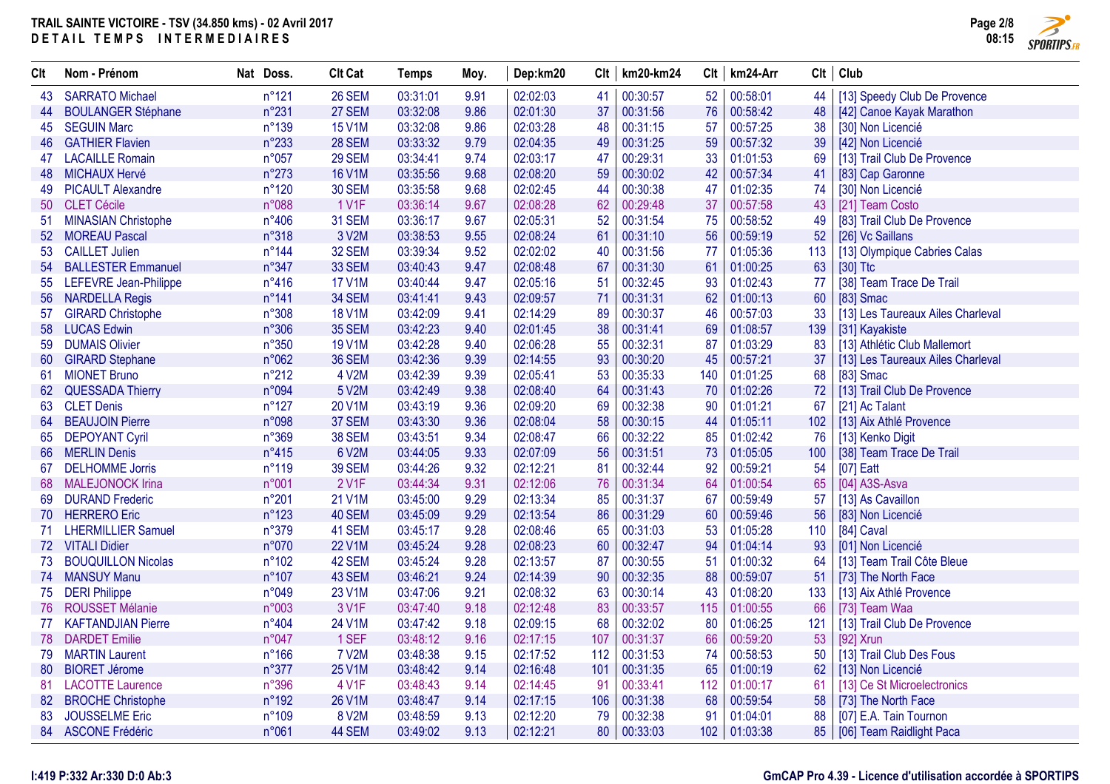

| Clt | Nom - Prénom               | Nat Doss.       | <b>Clt Cat</b> | <b>Temps</b> | Moy. | Dep:km20 |     | $Clt$   km20-km24 | Clt | km24-Arr |     | $Clt$ Club                        |
|-----|----------------------------|-----------------|----------------|--------------|------|----------|-----|-------------------|-----|----------|-----|-----------------------------------|
| 43  | <b>SARRATO Michael</b>     | $n^{\circ}121$  | 26 SEM         | 03:31:01     | 9.91 | 02:02:03 | 41  | 00:30:57          | 52  | 00:58:01 | 44  | [13] Speedy Club De Provence      |
| 44  | <b>BOULANGER Stéphane</b>  | n°231           | 27 SEM         | 03:32:08     | 9.86 | 02:01:30 | 37  | 00:31:56          | 76  | 00:58:42 | 48  | [42] Canoe Kayak Marathon         |
| 45  | <b>SEGUIN Marc</b>         | n°139           | <b>15 V1M</b>  | 03:32:08     | 9.86 | 02:03:28 | 48  | 00:31:15          | 57  | 00:57:25 | 38  | [30] Non Licencié                 |
| 46  | <b>GATHIER Flavien</b>     | n°233           | <b>28 SEM</b>  | 03:33:32     | 9.79 | 02:04:35 | 49  | 00:31:25          | 59  | 00:57:32 | 39  | [42] Non Licencié                 |
| 47  | <b>LACAILLE Romain</b>     | n°057           | 29 SEM         | 03:34:41     | 9.74 | 02:03:17 | 47  | 00:29:31          | 33  | 01:01:53 | 69  | [13] Trail Club De Provence       |
| 48  | <b>MICHAUX Hervé</b>       | $n^{\circ}273$  | <b>16 V1M</b>  | 03:35:56     | 9.68 | 02:08:20 | 59  | 00:30:02          | 42  | 00:57:34 | 41  | [83] Cap Garonne                  |
| 49  | <b>PICAULT Alexandre</b>   | $n^{\circ}120$  | 30 SEM         | 03:35:58     | 9.68 | 02:02:45 | 44  | 00:30:38          | 47  | 01:02:35 | 74  | [30] Non Licencié                 |
| 50  | <b>CLET Cécile</b>         | n°088           | 1 V1F          | 03:36:14     | 9.67 | 02:08:28 | 62  | 00:29:48          | 37  | 00:57:58 | 43  | [21] Team Costo                   |
| 51  | <b>MINASIAN Christophe</b> | $n^{\circ}406$  | 31 SEM         | 03:36:17     | 9.67 | 02:05:31 | 52  | 00:31:54          | 75  | 00:58:52 | 49  | [83] Trail Club De Provence       |
| 52  | <b>MOREAU Pascal</b>       | n°318           | 3 V2M          | 03:38:53     | 9.55 | 02:08:24 | 61  | 00:31:10          | 56  | 00:59:19 | 52  | [26] Vc Saillans                  |
| 53  | <b>CAILLET Julien</b>      | $n^{\circ}$ 144 | 32 SEM         | 03:39:34     | 9.52 | 02:02:02 | 40  | 00:31:56          | 77  | 01:05:36 | 113 | [13] Olympique Cabries Calas      |
| 54  | <b>BALLESTER Emmanuel</b>  | $n^{\circ}347$  | 33 SEM         | 03:40:43     | 9.47 | 02:08:48 | 67  | 00:31:30          | 61  | 01:00:25 | 63  | $[30]$ Ttc                        |
| 55  | LEFEVRE Jean-Philippe      | $n^{\circ}416$  | <b>17 V1M</b>  | 03:40:44     | 9.47 | 02:05:16 | 51  | 00:32:45          | 93  | 01:02:43 | 77  | [38] Team Trace De Trail          |
| 56  | <b>NARDELLA Regis</b>      | $n^{\circ}141$  | 34 SEM         | 03:41:41     | 9.43 | 02:09:57 | 71  | 00:31:31          | 62  | 01:00:13 | 60  | $[83]$ Smac                       |
| 57  | <b>GIRARD Christophe</b>   | n°308           | <b>18 V1M</b>  | 03:42:09     | 9.41 | 02:14:29 | 89  | 00:30:37          | 46  | 00:57:03 | 33  | [13] Les Taureaux Ailes Charleval |
| 58  | <b>LUCAS Edwin</b>         | n°306           | <b>35 SEM</b>  | 03:42:23     | 9.40 | 02:01:45 | 38  | 00:31:41          | 69  | 01:08:57 | 139 | [31] Kayakiste                    |
| 59  | <b>DUMAIS Olivier</b>      | n°350           | <b>19 V1M</b>  | 03:42:28     | 9.40 | 02:06:28 | 55  | 00:32:31          | 87  | 01:03:29 | 83  | [13] Athlétic Club Mallemort      |
| 60  | <b>GIRARD Stephane</b>     | n°062           | 36 SEM         | 03:42:36     | 9.39 | 02:14:55 | 93  | 00:30:20          | 45  | 00:57:21 | 37  | [13] Les Taureaux Ailes Charleval |
| 61  | <b>MIONET Bruno</b>        | $n^{\circ}212$  | 4 V2M          | 03:42:39     | 9.39 | 02:05:41 | 53  | 00:35:33          | 140 | 01:01:25 | 68  | [83] Smac                         |
| 62  | <b>QUESSADA Thierry</b>    | n°094           | 5 V2M          | 03:42:49     | 9.38 | 02:08:40 | 64  | 00:31:43          | 70  | 01:02:26 | 72  | [13] Trail Club De Provence       |
| 63  | <b>CLET Denis</b>          | $n^{\circ}127$  | 20 V1M         | 03:43:19     | 9.36 | 02:09:20 | 69  | 00:32:38          | 90  | 01:01:21 | -67 | [21] Ac Talant                    |
| 64  | <b>BEAUJOIN Pierre</b>     | n°098           | 37 SEM         | 03:43:30     | 9.36 | 02:08:04 | 58  | 00:30:15          | 44  | 01:05:11 | 102 | [13] Aix Athlé Provence           |
| 65  | <b>DEPOYANT Cyril</b>      | n°369           | <b>38 SEM</b>  | 03:43:51     | 9.34 | 02:08:47 | 66  | 00:32:22          | 85  | 01:02:42 | 76  | [13] Kenko Digit                  |
| 66  | <b>MERLIN Denis</b>        | $n^{\circ}415$  | 6 V2M          | 03:44:05     | 9.33 | 02:07:09 | 56  | 00:31:51          | 73  | 01:05:05 | 100 | [38] Team Trace De Trail          |
| 67  | <b>DELHOMME Jorris</b>     | n°119           | <b>39 SEM</b>  | 03:44:26     | 9.32 | 02:12:21 | 81  | 00:32:44          | 92  | 00:59:21 | 54  | $[07]$ Eatt                       |
| 68  | <b>MALEJONOCK Irina</b>    | n°001           | 2 V1F          | 03:44:34     | 9.31 | 02:12:06 | 76  | 00:31:34          | 64  | 01:00:54 | 65  | [04] A3S-Asva                     |
| 69  | <b>DURAND Frederic</b>     | $n^{\circ}201$  | 21 V1M         | 03:45:00     | 9.29 | 02:13:34 | 85  | 00:31:37          | 67  | 00:59:49 | 57  | [13] As Cavaillon                 |
| 70  | <b>HERRERO</b> Eric        | $n^{\circ}123$  | 40 SEM         | 03:45:09     | 9.29 | 02:13:54 | 86  | 00:31:29          | 60  | 00:59:46 | 56  | [83] Non Licencié                 |
|     | 71 LHERMILLIER Samuel      | n°379           | 41 SEM         | 03:45:17     | 9.28 | 02:08:46 | 65  | 00:31:03          | 53  | 01:05:28 | 110 | [84] Caval                        |
|     | 72 VITALI Didier           | n°070           | 22 V1M         | 03:45:24     | 9.28 | 02:08:23 | 60  | 00:32:47          | 94  | 01:04:14 | 93  | [01] Non Licencié                 |
| 73  | <b>BOUQUILLON Nicolas</b>  | $n^{\circ}102$  | 42 SEM         | 03:45:24     | 9.28 | 02:13:57 | 87  | 00:30:55          | 51  | 01:00:32 | 64  | [13] Team Trail Côte Bleue        |
|     | 74 MANSUY Manu             | $n^{\circ}107$  | 43 SEM         | 03:46:21     | 9.24 | 02:14:39 | 90  | 00:32:35          | 88  | 00:59:07 | 51  | [73] The North Face               |
| 75  | <b>DERI Philippe</b>       | n°049           | 23 V1M         | 03:47:06     | 9.21 | 02:08:32 | 63  | 00:30:14          | 43  | 01:08:20 | 133 | [13] Aix Athlé Provence           |
| 76  | <b>ROUSSET Mélanie</b>     | n°003           | 3 V1F          | 03:47:40     | 9.18 | 02:12:48 | 83  | 00:33:57          | 115 | 01:00:55 | 66  | [73] Team Waa                     |
| 77  | <b>KAFTANDJIAN Pierre</b>  | n°404           | 24 V1M         | 03:47:42     | 9.18 | 02:09:15 | 68  | 00:32:02          | 80  | 01:06:25 | 121 | [13] Trail Club De Provence       |
| 78  | <b>DARDET</b> Emilie       | n°047           | 1 SEF          | 03:48:12     | 9.16 | 02:17:15 | 107 | 00:31:37          | 66  | 00:59:20 | 53  | [92] Xrun                         |
| 79  | <b>MARTIN Laurent</b>      | $n^{\circ}166$  | <b>7 V2M</b>   | 03:48:38     | 9.15 | 02:17:52 | 112 | 00:31:53          | 74  | 00:58:53 | 50  | [13] Trail Club Des Fous          |
| 80  | <b>BIORET Jérome</b>       | n°377           | <b>25 V1M</b>  | 03:48:42     | 9.14 | 02:16:48 | 101 | 00:31:35          | 65  | 01:00:19 | 62  | [13] Non Licencié                 |
| 81  | <b>LACOTTE Laurence</b>    | n°396           | 4 V1F          | 03:48:43     | 9.14 | 02:14:45 | 91  | 00:33:41          | 112 | 01:00:17 | 61  | [13] Ce St Microelectronics       |
| 82  | <b>BROCHE Christophe</b>   | n°192           | 26 V1M         | 03:48:47     | 9.14 | 02:17:15 | 106 | 00:31:38          | 68  | 00:59:54 | 58  | [73] The North Face               |
| 83  | <b>JOUSSELME Eric</b>      | n°109           | 8 V2M          | 03:48:59     | 9.13 | 02:12:20 | 79  | 00:32:38          | 91  | 01:04:01 | 88  | [07] E.A. Tain Tournon            |
|     | 84 ASCONE Frédéric         | n°061           | 44 SEM         | 03:49:02     | 9.13 | 02:12:21 |     | 80   00:33:03     | 102 | 01:03:38 | 85  | [06] Team Raidlight Paca          |

#### **I:419 P:332 Ar:330 D:0 Ab:3**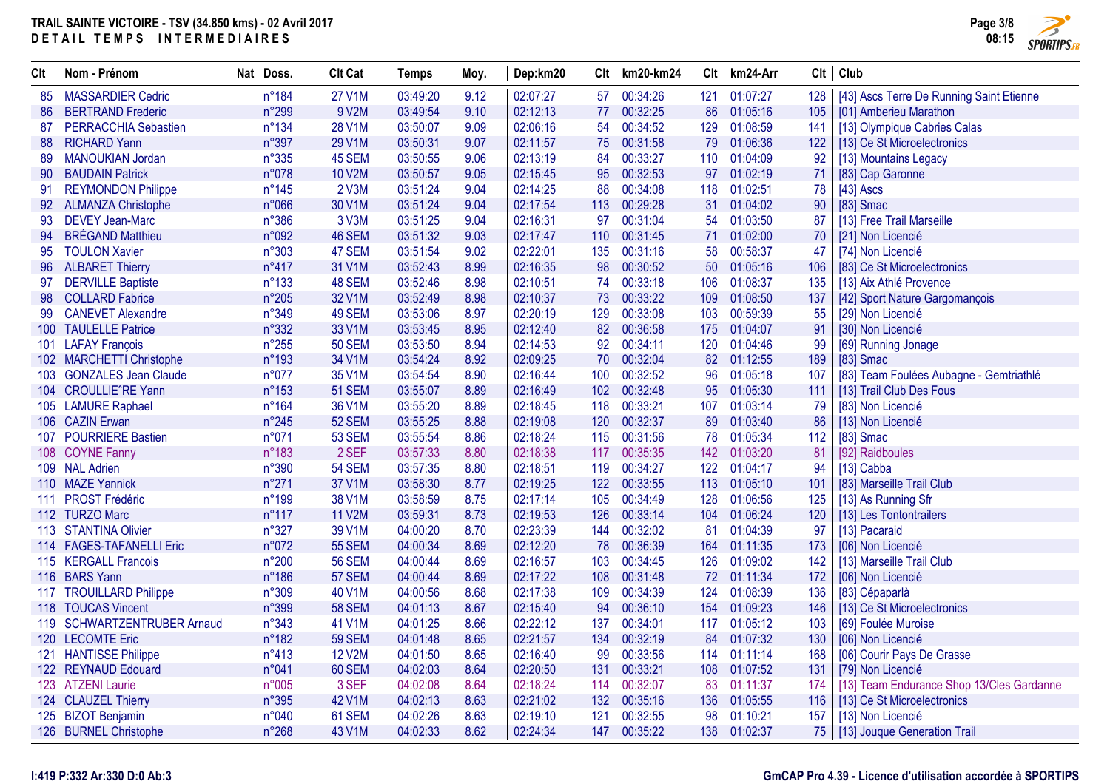

| Clt | Nom - Prénom                | Nat Doss.      | <b>Clt Cat</b> | <b>Temps</b> | Moy. | Dep:km20 | Clt | km20-km24    | Clt | km24-Arr     |     | Clt   Club                                |
|-----|-----------------------------|----------------|----------------|--------------|------|----------|-----|--------------|-----|--------------|-----|-------------------------------------------|
| 85  | <b>MASSARDIER Cedric</b>    | n°184          | <b>27 V1M</b>  | 03:49:20     | 9.12 | 02:07:27 | 57  | 00:34:26     | 121 | 01:07:27     | 128 | [43] Ascs Terre De Running Saint Etienne  |
| 86  | <b>BERTRAND Frederic</b>    | n°299          | 9 V2M          | 03:49:54     | 9.10 | 02:12:13 | 77  | 00:32:25     | 86  | 01:05:16     | 105 | [01] Amberieu Marathon                    |
| 87  | PERRACCHIA Sebastien        | n°134          | <b>28 V1M</b>  | 03:50:07     | 9.09 | 02:06:16 | 54  | 00:34:52     | 129 | 01:08:59     | 141 | [13] Olympique Cabries Calas              |
| 88  | <b>RICHARD Yann</b>         | n°397          | 29 V1M         | 03:50:31     | 9.07 | 02:11:57 | 75  | 00:31:58     | 79  | 01:06:36     | 122 | [13] Ce St Microelectronics               |
| 89  | <b>MANOUKIAN Jordan</b>     | n°335          | 45 SEM         | 03:50:55     | 9.06 | 02:13:19 | 84  | 00:33:27     | 110 | 01:04:09     | 92  | [13] Mountains Legacy                     |
| 90  | <b>BAUDAIN Patrick</b>      | n°078          | 10 V2M         | 03:50:57     | 9.05 | 02:15:45 | 95  | 00:32:53     | 97  | 01:02:19     | 71  | [83] Cap Garonne                          |
| 91  | <b>REYMONDON Philippe</b>   | $n^{\circ}145$ | 2 V3M          | 03:51:24     | 9.04 | 02:14:25 | 88  | 00:34:08     | 118 | 01:02:51     | 78  | $[43]$ Ascs                               |
| 92  | <b>ALMANZA Christophe</b>   | n°066          | 30 V1M         | 03:51:24     | 9.04 | 02:17:54 | 113 | 00:29:28     | 31  | 01:04:02     | 90  | [83] Smac                                 |
| 93  | <b>DEVEY Jean-Marc</b>      | n°386          | 3 V3M          | 03:51:25     | 9.04 | 02:16:31 | 97  | 00:31:04     | 54  | 01:03:50     | 87  | [13] Free Trail Marseille                 |
| 94  | <b>BRÉGAND Matthieu</b>     | n°092          | 46 SEM         | 03:51:32     | 9.03 | 02:17:47 | 110 | 00:31:45     | 71  | 01:02:00     | 70  | [21] Non Licencié                         |
| 95  | <b>TOULON Xavier</b>        | n°303          | 47 SEM         | 03:51:54     | 9.02 | 02:22:01 | 135 | 00:31:16     | 58  | 00:58:37     | 47  | [74] Non Licencié                         |
| 96  | <b>ALBARET Thierry</b>      | $n^{\circ}417$ | 31 V1M         | 03:52:43     | 8.99 | 02:16:35 | 98  | 00:30:52     | 50  | 01:05:16     | 106 | [83] Ce St Microelectronics               |
| 97  | <b>DERVILLE Baptiste</b>    | n°133          | 48 SEM         | 03:52:46     | 8.98 | 02:10:51 | 74  | 00:33:18     | 106 | 01:08:37     | 135 | [13] Aix Athlé Provence                   |
| 98  | <b>COLLARD Fabrice</b>      | $n^{\circ}205$ | 32 V1M         | 03:52:49     | 8.98 | 02:10:37 | 73  | 00:33:22     | 109 | 01:08:50     | 137 | [42] Sport Nature Gargomançois            |
| 99  | <b>CANEVET Alexandre</b>    | n°349          | 49 SEM         | 03:53:06     | 8.97 | 02:20:19 | 129 | 00:33:08     | 103 | 00:59:39     | 55  | [29] Non Licencié                         |
|     | 100 TAULELLE Patrice        | n°332          | 33 V1M         | 03:53:45     | 8.95 | 02:12:40 | 82  | 00:36:58     | 175 | 01:04:07     | 91  | [30] Non Licencié                         |
| 101 | <b>LAFAY François</b>       | $n^{\circ}255$ | <b>50 SEM</b>  | 03:53:50     | 8.94 | 02:14:53 | 92  | 00:34:11     | 120 | 01:04:46     | 99  | [69] Running Jonage                       |
|     | 102 MARCHETTI Christophe    | n°193          | 34 V1M         | 03:54:24     | 8.92 | 02:09:25 | 70  | 00:32:04     | 82  | 01:12:55     | 189 | [83] Smac                                 |
|     | 103 GONZALES Jean Claude    | n°077          | 35 V1M         | 03:54:54     | 8.90 | 02:16:44 | 100 | 00:32:52     | 96  | 01:05:18     | 107 | [83] Team Foulées Aubagne - Gemtriathlé   |
| 104 | <b>CROULLIE'RE Yann</b>     | n°153          | <b>51 SEM</b>  | 03:55:07     | 8.89 | 02:16:49 | 102 | 00:32:48     | 95  | 01:05:30     | 111 | [13] Trail Club Des Fous                  |
|     | 105 LAMURE Raphael          | n°164          | 36 V1M         | 03:55:20     | 8.89 | 02:18:45 | 118 | 00:33:21     | 107 | 01:03:14     | 79  | [83] Non Licencié                         |
|     | 106 CAZIN Erwan             | $n^{\circ}245$ | <b>52 SEM</b>  | 03:55:25     | 8.88 | 02:19:08 | 120 | 00:32:37     | 89  | 01:03:40     | 86  | [13] Non Licencié                         |
| 107 | <b>POURRIERE Bastien</b>    | n°071          | <b>53 SEM</b>  | 03:55:54     | 8.86 | 02:18:24 | 115 | 00:31:56     | 78  | 01:05:34     | 112 | $[83]$ Smac                               |
|     | 108 COYNE Fanny             | n°183          | 2 SEF          | 03:57:33     | 8.80 | 02:18:38 | 117 | 00:35:35     | 142 | 01:03:20     | 81  | [92] Raidboules                           |
|     | 109 NAL Adrien              | n°390          | <b>54 SEM</b>  | 03:57:35     | 8.80 | 02:18:51 | 119 | 00:34:27     | 122 | 01:04:17     | 94  | [13] Cabba                                |
|     | 110 MAZE Yannick            | n°271          | 37 V1M         | 03:58:30     | 8.77 | 02:19:25 | 122 | 00:33:55     | 113 | 01:05:10     | 101 | [83] Marseille Trail Club                 |
| 111 | <b>PROST Frédéric</b>       | n°199          | 38 V1M         | 03:58:59     | 8.75 | 02:17:14 | 105 | 00:34:49     | 128 | 01:06:56     | 125 | [13] As Running Sfr                       |
|     | 112 TURZO Marc              | $n^{\circ}117$ | 11 V2M         | 03:59:31     | 8.73 | 02:19:53 | 126 | 00:33:14     | 104 | 01:06:24     | 120 | [13] Les Tontontrailers                   |
|     | 113 STANTINA Olivier        | n°327          | 39 V1M         | 04:00:20     | 8.70 | 02:23:39 | 144 | 00:32:02     | 81  | 01:04:39     | -97 | [13] Pacaraid                             |
|     | 114 FAGES-TAFANELLI Eric    | n°072          | <b>55 SEM</b>  | 04:00:34     | 8.69 | 02:12:20 | 78  | 00:36:39     | 164 | 01:11:35     | 173 | [06] Non Licencié                         |
|     | 115 KERGALL Francois        | n°200          | <b>56 SEM</b>  | 04:00:44     | 8.69 | 02:16:57 | 103 | 00:34:45     | 126 | 01:09:02     | 142 | [13] Marseille Trail Club                 |
|     | 116 BARS Yann               | n°186          | <b>57 SEM</b>  | 04:00:44     | 8.69 | 02:17:22 | 108 | 00:31:48     | 72  | 01:11:34     | 172 | [06] Non Licencié                         |
|     | 117 TROUILLARD Philippe     | n°309          | 40 V1M         | 04:00:56     | 8.68 | 02:17:38 | 109 | 00:34:39     | 124 | 01:08:39     | 136 | [83] Cépaparlà                            |
| 118 | <b>TOUCAS Vincent</b>       | n°399          | <b>58 SEM</b>  | 04:01:13     | 8.67 | 02:15:40 | 94  | 00:36:10     | 154 | 01:09:23     | 146 | [13] Ce St Microelectronics               |
|     | 119 SCHWARTZENTRUBER Arnaud | n°343          | 41 V1M         | 04:01:25     | 8.66 | 02:22:12 | 137 | 00:34:01     | 117 | 01:05:12     | 103 | [69] Foulée Muroise                       |
|     | 120 LECOMTE Eric            | n°182          | <b>59 SEM</b>  | 04:01:48     | 8.65 | 02:21:57 | 134 | 00:32:19     | 84  | 01:07:32     | 130 | [06] Non Licencié                         |
| 121 | <b>HANTISSE Philippe</b>    | $n^{\circ}413$ | <b>12 V2M</b>  | 04:01:50     | 8.65 | 02:16:40 | 99  | 00:33:56     | 114 | 01:11:14     | 168 | [06] Courir Pays De Grasse                |
| 122 | <b>REYNAUD Edouard</b>      | n°041          | 60 SEM         | 04:02:03     | 8.64 | 02:20:50 | 131 | 00:33:21     | 108 | 01:07:52     | 131 | [79] Non Licencié                         |
|     | 123 ATZENI Laurie           | n°005          | 3 SEF          | 04:02:08     | 8.64 | 02:18:24 | 114 | 00:32:07     | 83  | 01:11:37     | 174 | [13] Team Endurance Shop 13/Cles Gardanne |
|     | 124 CLAUZEL Thierry         | n°395          | 42 V1M         | 04:02:13     | 8.63 | 02:21:02 | 132 | 00:35:16     | 136 | 01:05:55     | 116 | [13] Ce St Microelectronics               |
|     | 125 BIZOT Benjamin          | n°040          | 61 SEM         | 04:02:26     | 8.63 | 02:19:10 | 121 | 00:32:55     | 98  | 01:10:21     | 157 | [13] Non Licencié                         |
|     | 126 BURNEL Christophe       | n°268          | 43 V1M         | 04:02:33     | 8.62 | 02:24:34 |     | 147 00:35:22 |     | 138 01:02:37 | 75  | [13] Jouque Generation Trail              |

#### **I:419 P:332 Ar:330 D:0 Ab:3**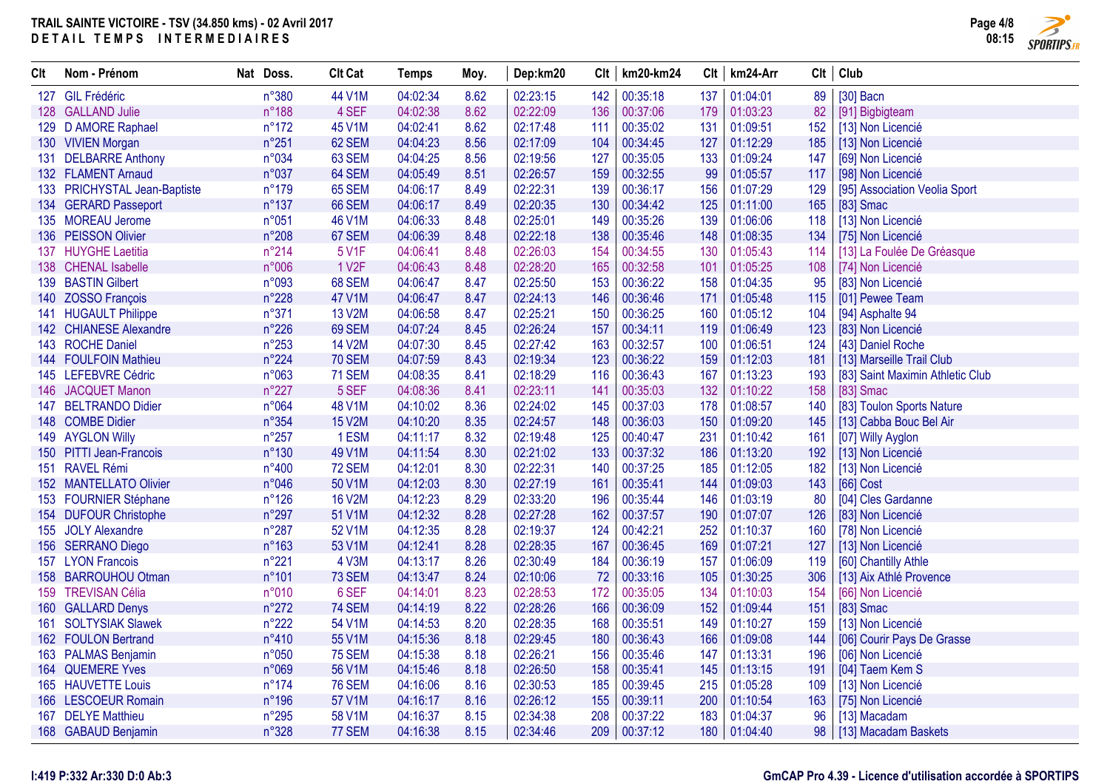

| Clt | Nom - Prénom                 | Nat Doss.      | <b>Clt Cat</b>     | Temps    | Moy. | Dep:km20 |     | $Clt$   km20-km24 | Clt | km24-Arr | Clt | Club                             |
|-----|------------------------------|----------------|--------------------|----------|------|----------|-----|-------------------|-----|----------|-----|----------------------------------|
| 127 | <b>GIL Frédéric</b>          | n°380          | 44 V1M             | 04:02:34 | 8.62 | 02:23:15 | 142 | 00:35:18          | 137 | 01:04:01 | 89  | $[30]$ Bacn                      |
|     | 128 GALLAND Julie            | $n^{\circ}188$ | 4 SEF              | 04:02:38 | 8.62 | 02:22:09 | 136 | 00:37:06          | 179 | 01:03:23 | 82  | [91] Bigbigteam                  |
|     | 129 D AMORE Raphael          | $n^{\circ}172$ | 45 V1M             | 04:02:41 | 8.62 | 02:17:48 | 111 | 00:35:02          | 131 | 01:09:51 | 152 | [13] Non Licencié                |
|     | 130 VIVIEN Morgan            | n°251          | 62 SEM             | 04:04:23 | 8.56 | 02:17:09 | 104 | 00:34:45          | 127 | 01:12:29 | 185 | [13] Non Licencié                |
|     | 131 DELBARRE Anthony         | n°034          | 63 SEM             | 04:04:25 | 8.56 | 02:19:56 | 127 | 00:35:05          | 133 | 01:09:24 | 147 | [69] Non Licencié                |
|     | 132 FLAMENT Arnaud           | n°037          | 64 SEM             | 04:05:49 | 8.51 | 02:26:57 | 159 | 00:32:55          | 99  | 01:05:57 | 117 | [98] Non Licencié                |
|     | 133 PRICHYSTAL Jean-Baptiste | $n^{\circ}179$ | <b>65 SEM</b>      | 04:06:17 | 8.49 | 02:22:31 | 139 | 00:36:17          | 156 | 01:07:29 | 129 | [95] Association Veolia Sport    |
|     | 134 GERARD Passeport         | $n^{\circ}137$ | 66 SEM             | 04:06:17 | 8.49 | 02:20:35 | 130 | 00:34:42          | 125 | 01:11:00 | 165 | [83] Smac                        |
|     | 135 MOREAU Jerome            | n°051          | 46 V1M             | 04:06:33 | 8.48 | 02:25:01 | 149 | 00:35:26          | 139 | 01:06:06 | 118 | [13] Non Licencié                |
|     | 136 PEISSON Olivier          | $n^{\circ}208$ | 67 SEM             | 04:06:39 | 8.48 | 02:22:18 | 138 | 00:35:46          | 148 | 01:08:35 | 134 | [75] Non Licencié                |
| 137 | <b>HUYGHE Laetitia</b>       | $n^{\circ}214$ | 5 V1F              | 04:06:41 | 8.48 | 02:26:03 | 154 | 00:34:55          | 130 | 01:05:43 | 114 | [13] La Foulée De Gréasque       |
|     | 138 CHENAL Isabelle          | n°006          | 1 V <sub>2</sub> F | 04:06:43 | 8.48 | 02:28:20 | 165 | 00:32:58          | 101 | 01:05:25 | 108 | [74] Non Licencié                |
|     | 139 BASTIN Gilbert           | n°093          | 68 SEM             | 04:06:47 | 8.47 | 02:25:50 | 153 | 00:36:22          | 158 | 01:04:35 | 95  | [83] Non Licencié                |
| 140 | <b>ZOSSO François</b>        | $n^{\circ}228$ | 47 V1M             | 04:06:47 | 8.47 | 02:24:13 | 146 | 00:36:46          | 171 | 01:05:48 | 115 | [01] Pewee Team                  |
|     | 141 HUGAULT Philippe         | n°371          | 13 V2M             | 04:06:58 | 8.47 | 02:25:21 | 150 | 00:36:25          | 160 | 01:05:12 | 104 | [94] Asphalte 94                 |
|     | 142 CHIANESE Alexandre       | $n^{\circ}226$ | 69 SEM             | 04:07:24 | 8.45 | 02:26:24 | 157 | 00:34:11          | 119 | 01:06:49 | 123 | [83] Non Licencié                |
|     | 143 ROCHE Daniel             | $n^{\circ}253$ | 14 V2M             | 04:07:30 | 8.45 | 02:27:42 | 163 | 00:32:57          | 100 | 01:06:51 | 124 | [43] Daniel Roche                |
|     | 144 FOULFOIN Mathieu         | $n^{\circ}224$ | <b>70 SEM</b>      | 04:07:59 | 8.43 | 02:19:34 | 123 | 00:36:22          | 159 | 01:12:03 | 181 | [13] Marseille Trail Club        |
|     | 145 LEFEBVRE Cédric          | n°063          | <b>71 SEM</b>      | 04:08:35 | 8.41 | 02:18:29 | 116 | 00:36:43          | 167 | 01:13:23 | 193 | [83] Saint Maximin Athletic Club |
|     | 146 JACQUET Manon            | $n^{\circ}227$ | 5 SEF              | 04:08:36 | 8.41 | 02:23:11 | 141 | 00:35:03          | 132 | 01:10:22 | 158 | [83] Smac                        |
| 147 | <b>BELTRANDO Didier</b>      | n°064          | 48 V1M             | 04:10:02 | 8.36 | 02:24:02 | 145 | 00:37:03          | 178 | 01:08:57 | 140 | [83] Toulon Sports Nature        |
|     | 148 COMBE Didier             | n°354          | <b>15 V2M</b>      | 04:10:20 | 8.35 | 02:24:57 | 148 | 00:36:03          | 150 | 01:09:20 | 145 | [13] Cabba Bouc Bel Air          |
|     | 149 AYGLON Willy             | $n^{\circ}257$ | 1ESM               | 04:11:17 | 8.32 | 02:19:48 | 125 | 00:40:47          | 231 | 01:10:42 | 161 | [07] Willy Ayglon                |
| 150 | <b>PITTI Jean-Francois</b>   | $n^{\circ}130$ | 49 V1M             | 04:11:54 | 8.30 | 02:21:02 | 133 | 00:37:32          | 186 | 01:13:20 | 192 | [13] Non Licencié                |
|     | 151 RAVEL Rémi               | $n^{\circ}400$ | <b>72 SEM</b>      | 04:12:01 | 8.30 | 02:22:31 | 140 | 00:37:25          | 185 | 01:12:05 | 182 | [13] Non Licencié                |
|     | 152 MANTELLATO Olivier       | n°046          | 50 V1M             | 04:12:03 | 8.30 | 02:27:19 | 161 | 00:35:41          | 144 | 01:09:03 | 143 | [66] Cost                        |
|     | 153 FOURNIER Stéphane        | $n^{\circ}126$ | <b>16 V2M</b>      | 04:12:23 | 8.29 | 02:33:20 | 196 | 00:35:44          | 146 | 01:03:19 | 80  | [04] Cles Gardanne               |
|     | 154 DUFOUR Christophe        | n°297          | 51 V1M             | 04:12:32 | 8.28 | 02:27:28 | 162 | 00:37:57          | 190 | 01:07:07 | 126 | [83] Non Licencié                |
|     | 155 JOLY Alexandre           | n°287          | 52 V1M             | 04:12:35 | 8.28 | 02:19:37 | 124 | 00:42:21          | 252 | 01:10:37 | 160 | [78] Non Licencié                |
|     | 156 SERRANO Diego            | n°163          | 53 V1M             | 04:12:41 | 8.28 | 02:28:35 | 167 | 00:36:45          | 169 | 01:07:21 | 127 | [13] Non Licencié                |
| 157 | <b>LYON Francois</b>         | n°221          | 4 V3M              | 04:13:17 | 8.26 | 02:30:49 | 184 | 00:36:19          | 157 | 01:06:09 | 119 | [60] Chantilly Athle             |
|     | 158 BARROUHOU Otman          | n°101          | <b>73 SEM</b>      | 04:13:47 | 8.24 | 02:10:06 | 72  | 00:33:16          | 105 | 01:30:25 | 306 | [13] Aix Athlé Provence          |
|     | 159 TREVISAN Célia           | n°010          | 6 SEF              | 04:14:01 | 8.23 | 02:28:53 | 172 | 00:35:05          | 134 | 01:10:03 | 154 | [66] Non Licencié                |
| 160 | <b>GALLARD Denys</b>         | $n^{\circ}272$ | <b>74 SEM</b>      | 04:14:19 | 8.22 | 02:28:26 | 166 | 00:36:09          | 152 | 01:09:44 | 151 | [83] Smac                        |
| 161 | <b>SOLTYSIAK Slawek</b>      | $n^{\circ}222$ | 54 V1M             | 04:14:53 | 8.20 | 02:28:35 | 168 | 00:35:51          | 149 | 01:10:27 | 159 | [13] Non Licencié                |
|     | 162 FOULON Bertrand          | $n^{\circ}410$ | 55 V1M             | 04:15:36 | 8.18 | 02:29:45 | 180 | 00:36:43          | 166 | 01:09:08 | 144 | [06] Courir Pays De Grasse       |
|     | 163 PALMAS Benjamin          | n°050          | <b>75 SEM</b>      | 04:15:38 | 8.18 | 02:26:21 | 156 | 00:35:46          | 147 | 01:13:31 | 196 | [06] Non Licencié                |
| 164 | <b>QUEMERE Yves</b>          | n°069          | 56 V1M             | 04:15:46 | 8.18 | 02:26:50 | 158 | 00:35:41          | 145 | 01:13:15 | 191 | [04] Taem Kem S                  |
|     | 165 HAUVETTE Louis           | $n^{\circ}174$ | <b>76 SEM</b>      | 04:16:06 | 8.16 | 02:30:53 | 185 | 00:39:45          | 215 | 01:05:28 | 109 | [13] Non Licencié                |
|     | 166 LESCOEUR Romain          | n°196          | 57 V1M             | 04:16:17 | 8.16 | 02:26:12 | 155 | 00:39:11          | 200 | 01:10:54 | 163 | [75] Non Licencié                |
| 167 | <b>DELYE Matthieu</b>        | $n^{\circ}295$ | 58 V1M             | 04:16:37 | 8.15 | 02:34:38 | 208 | 00:37:22          | 183 | 01:04:37 | 96  | [13] Macadam                     |
|     | 168 GABAUD Benjamin          | n°328          | 77 SEM             | 04:16:38 | 8.15 | 02:34:46 | 209 | 00:37:12          | 180 | 01:04:40 | 98  | [13] Macadam Baskets             |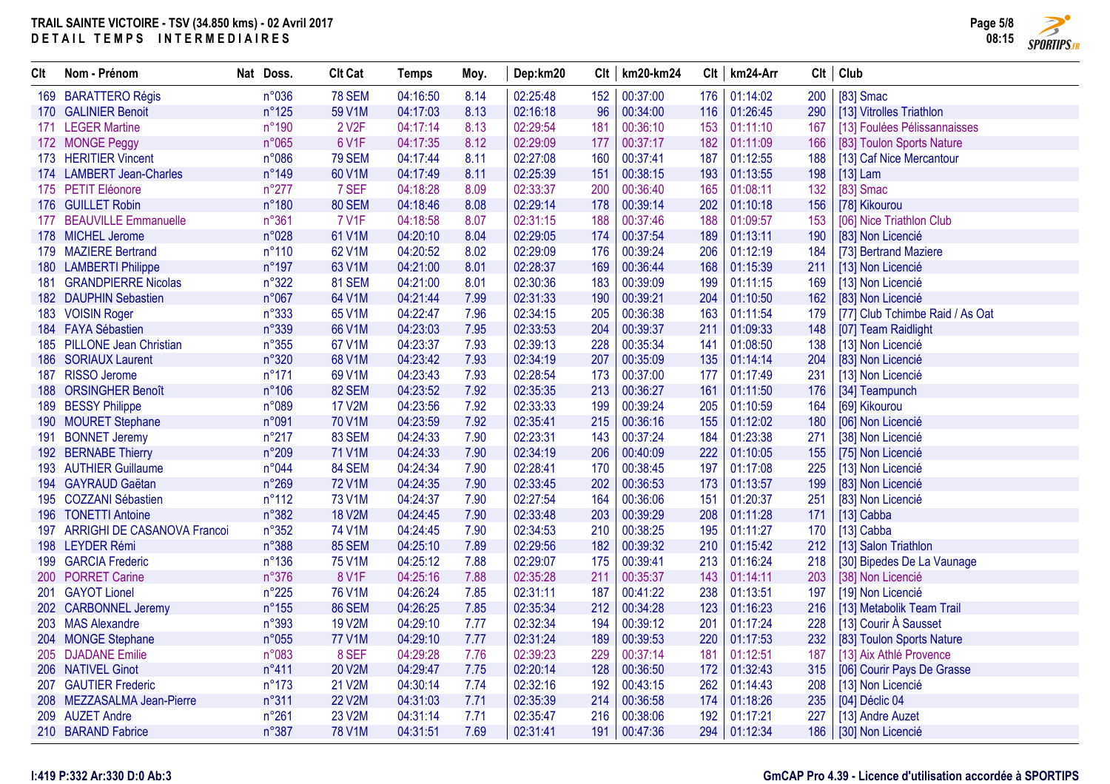

| Clt | Nom - Prénom                    | Nat Doss.       | <b>Clt Cat</b>     | <b>Temps</b> | Moy. | Dep:km20 |     | $Clt$   km20-km24 | Clt | km24-Arr     |     | Clt   Club                      |
|-----|---------------------------------|-----------------|--------------------|--------------|------|----------|-----|-------------------|-----|--------------|-----|---------------------------------|
|     | 169 BARATTERO Régis             | n°036           | <b>78 SEM</b>      | 04:16:50     | 8.14 | 02:25:48 | 152 | 00:37:00          | 176 | 01:14:02     | 200 | [83] Smac                       |
|     | 170 GALINIER Benoit             | $n^{\circ}125$  | 59 V1M             | 04:17:03     | 8.13 | 02:16:18 | 96  | 00:34:00          | 116 | 01:26:45     | 290 | [13] Vitrolles Triathlon        |
|     | 171 LEGER Martine               | n°190           | 2 V <sub>2</sub> F | 04:17:14     | 8.13 | 02:29:54 | 181 | 00:36:10          | 153 | 01:11:10     | 167 | [13] Foulées Pélissannaisses    |
|     | 172 MONGE Peggy                 | n°065           | 6 V1F              | 04:17:35     | 8.12 | 02:29:09 | 177 | 00:37:17          | 182 | 01:11:09     | 166 | [83] Toulon Sports Nature       |
|     | 173 HERITIER Vincent            | n°086           | <b>79 SEM</b>      | 04:17:44     | 8.11 | 02:27:08 | 160 | 00:37:41          | 187 | 01:12:55     | 188 | [13] Caf Nice Mercantour        |
|     | 174 LAMBERT Jean-Charles        | $n^{\circ}$ 149 | 60 V1M             | 04:17:49     | 8.11 | 02:25:39 | 151 | 00:38:15          | 193 | 01:13:55     | 198 | $[13]$ Lam                      |
|     | 175 PETIT Eléonore              | $n^{\circ}277$  | 7 SEF              | 04:18:28     | 8.09 | 02:33:37 | 200 | 00:36:40          | 165 | 01:08:11     | 132 | [83] Smac                       |
|     | 176 GUILLET Robin               | n°180           | <b>80 SEM</b>      | 04:18:46     | 8.08 | 02:29:14 | 178 | 00:39:14          | 202 | 01:10:18     | 156 | [78] Kikourou                   |
|     | 177 BEAUVILLE Emmanuelle        | n°361           | <b>7 V1F</b>       | 04:18:58     | 8.07 | 02:31:15 | 188 | 00:37:46          | 188 | 01:09:57     | 153 | [06] Nice Triathlon Club        |
|     | 178 MICHEL Jerome               | n°028           | 61 V1M             | 04:20:10     | 8.04 | 02:29:05 | 174 | 00:37:54          | 189 | 01:13:11     | 190 | [83] Non Licencié               |
|     | 179 MAZIERE Bertrand            | $n^{\circ}110$  | 62 V1M             | 04:20:52     | 8.02 | 02:29:09 | 176 | 00:39:24          | 206 | 01:12:19     | 184 | [73] Bertrand Maziere           |
|     | 180 LAMBERTI Philippe           | n°197           | 63 V1M             | 04:21:00     | 8.01 | 02:28:37 | 169 | 00:36:44          | 168 | 01:15:39     | 211 | [13] Non Licencié               |
| 181 | <b>GRANDPIERRE Nicolas</b>      | n°322           | <b>81 SEM</b>      | 04:21:00     | 8.01 | 02:30:36 | 183 | 00:39:09          | 199 | 01:11:15     | 169 | [13] Non Licencié               |
|     | 182 DAUPHIN Sebastien           | n°067           | 64 V1M             | 04:21:44     | 7.99 | 02:31:33 | 190 | 00:39:21          | 204 | 01:10:50     | 162 | [83] Non Licencié               |
|     | 183 VOISIN Roger                | n°333           | 65 V1M             | 04:22:47     | 7.96 | 02:34:15 | 205 | 00:36:38          | 163 | 01:11:54     | 179 | [77] Club Tchimbe Raid / As Oat |
|     | 184 FAYA Sébastien              | n°339           | 66 V1M             | 04:23:03     | 7.95 | 02:33:53 | 204 | 00:39:37          | 211 | 01:09:33     | 148 | [07] Team Raidlight             |
|     | 185 PILLONE Jean Christian      | $n^{\circ}355$  | 67 V1M             | 04:23:37     | 7.93 | 02:39:13 | 228 | 00:35:34          | 141 | 01:08:50     | 138 | [13] Non Licencié               |
|     | 186 SORIAUX Laurent             | n°320           | 68 V1M             | 04:23:42     | 7.93 | 02:34:19 | 207 | 00:35:09          | 135 | 01:14:14     | 204 | [83] Non Licencié               |
|     | 187 RISSO Jerome                | $n^{\circ}171$  | 69 V1M             | 04:23:43     | 7.93 | 02:28:54 | 173 | 00:37:00          | 177 | 01:17:49     | 231 | [13] Non Licencié               |
|     | 188 ORSINGHER Benoît            | $n^{\circ}106$  | 82 SEM             | 04:23:52     | 7.92 | 02:35:35 | 213 | 00:36:27          | 161 | 01:11:50     | 176 | [34] Teampunch                  |
|     | 189 BESSY Philippe              | n°089           | <b>17 V2M</b>      | 04:23:56     | 7.92 | 02:33:33 | 199 | 00:39:24          | 205 | 01:10:59     | 164 | [69] Kikourou                   |
|     | 190 MOURET Stephane             | n°091           | 70 V1M             | 04:23:59     | 7.92 | 02:35:41 | 215 | 00:36:16          | 155 | 01:12:02     | 180 | [06] Non Licencié               |
|     | 191 BONNET Jeremy               | $n^{\circ}217$  | 83 SEM             | 04:24:33     | 7.90 | 02:23:31 | 143 | 00:37:24          | 184 | 01:23:38     | 271 | [38] Non Licencié               |
|     | 192 BERNABE Thierry             | n°209           | 71 V1M             | 04:24:33     | 7.90 | 02:34:19 | 206 | 00:40:09          | 222 | 01:10:05     | 155 | [75] Non Licencié               |
|     | 193 AUTHIER Guillaume           | n°044           | 84 SEM             | 04:24:34     | 7.90 | 02:28:41 | 170 | 00:38:45          | 197 | 01:17:08     | 225 | [13] Non Licencié               |
|     | 194 GAYRAUD Gaëtan              | n°269           | <b>72 V1M</b>      | 04:24:35     | 7.90 | 02:33:45 | 202 | 00:36:53          | 173 | 01:13:57     | 199 | [83] Non Licencié               |
|     | 195 COZZANI Sébastien           | $n^{\circ}112$  | 73 V1M             | 04:24:37     | 7.90 | 02:27:54 | 164 | 00:36:06          | 151 | 01:20:37     | 251 | [83] Non Licencié               |
|     | 196 TONETTI Antoine             | $n^{\circ}382$  | <b>18 V2M</b>      | 04:24:45     | 7.90 | 02:33:48 | 203 | 00:39:29          | 208 | 01:11:28     | 171 | [13] Cabba                      |
|     | 197 ARRIGHI DE CASANOVA Francoi | $n^{\circ}352$  | 74 V1M             | 04:24:45     | 7.90 | 02:34:53 | 210 | 00:38:25          | 195 | 01:11:27     | 170 | [13] Cabba                      |
|     | 198 LEYDER Rémi                 | n°388           | <b>85 SEM</b>      | 04:25:10     | 7.89 | 02:29:56 | 182 | 00:39:32          | 210 | 01:15:42     | 212 | [13] Salon Triathlon            |
|     | 199 GARCIA Frederic             | $n^{\circ}136$  | 75 V1M             | 04:25:12     | 7.88 | 02:29:07 | 175 | 00:39:41          | 213 | 01:16:24     | 218 | [30] Bipedes De La Vaunage      |
|     | 200 PORRET Carine               | n°376           | 8 V1F              | 04:25:16     | 7.88 | 02:35:28 | 211 | 00:35:37          | 143 | 01:14:11     | 203 | [38] Non Licencié               |
|     | 201 GAYOT Lionel                | $n^{\circ}225$  | 76 V1M             | 04:26:24     | 7.85 | 02:31:11 | 187 | 00:41:22          | 238 | 01:13:51     | 197 | [19] Non Licencié               |
|     | 202 CARBONNEL Jeremy            | $n^{\circ}155$  | <b>86 SEM</b>      | 04:26:25     | 7.85 | 02:35:34 | 212 | 00:34:28          | 123 | 01:16:23     | 216 | [13] Metabolik Team Trail       |
|     | 203 MAS Alexandre               | n°393           | 19 V2M             | 04:29:10     | 7.77 | 02:32:34 | 194 | 00:39:12          | 201 | 01:17:24     | 228 | [13] Courir À Sausset           |
|     | 204 MONGE Stephane              | n°055           | <b>77 V1M</b>      | 04:29:10     | 7.77 | 02:31:24 | 189 | 00:39:53          | 220 | 01:17:53     | 232 | [83] Toulon Sports Nature       |
|     | 205 DJADANE Emilie              | n°083           | 8 SEF              | 04:29:28     | 7.76 | 02:39:23 | 229 | 00:37:14          | 181 | 01:12:51     | 187 | [13] Aix Athlé Provence         |
|     | 206 NATIVEL Ginot               | $n^{\circ}411$  | 20 V2M             | 04:29:47     | 7.75 | 02:20:14 | 128 | 00:36:50          | 172 | 01:32:43     | 315 | [06] Courir Pays De Grasse      |
|     | 207 GAUTIER Frederic            | $n^{\circ}173$  | 21 V2M             | 04:30:14     | 7.74 | 02:32:16 | 192 | 00:43:15          | 262 | 01:14:43     | 208 | [13] Non Licencié               |
|     | 208 MEZZASALMA Jean-Pierre      | n°311           | <b>22 V2M</b>      | 04:31:03     | 7.71 | 02:35:39 | 214 | 00:36:58          | 174 | 01:18:26     | 235 | [04] Déclic 04                  |
|     | 209 AUZET Andre                 | n°261           | 23 V2M             | 04:31:14     | 7.71 | 02:35:47 | 216 | 00:38:06          | 192 | 01:17:21     | 227 | [13] Andre Auzet                |
|     | 210 BARAND Fabrice              | n°387           | <b>78 V1M</b>      | 04:31:51     | 7.69 | 02:31:41 |     | 191 00:47:36      |     | 294 01:12:34 |     | 186   [30] Non Licencié         |

#### **I:419 P:332 Ar:330 D:0 Ab:3**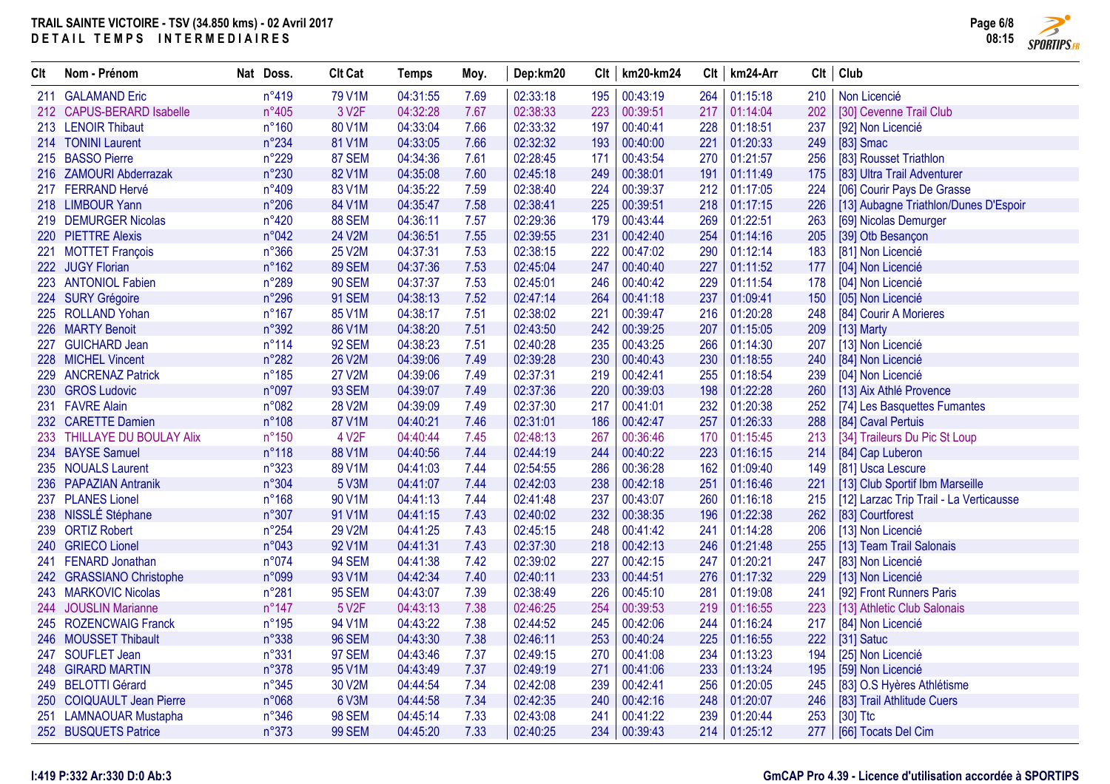

| <b>CIt</b> | Nom - Prénom                | Nat Doss.       | <b>Clt Cat</b>     | Temps    | Moy. | Dep:km20 |     | $Clt$   km20-km24 | Clt | km24-Arr       |     | Clt   Club                              |
|------------|-----------------------------|-----------------|--------------------|----------|------|----------|-----|-------------------|-----|----------------|-----|-----------------------------------------|
|            | 211 GALAMAND Eric           | n°419           | 79 V1M             | 04:31:55 | 7.69 | 02:33:18 | 195 | 00:43:19          | 264 | 01:15:18       | 210 | Non Licencié                            |
|            | 212 CAPUS-BERARD Isabelle   | $n^{\circ}405$  | 3 V <sub>2</sub> F | 04:32:28 | 7.67 | 02:38:33 | 223 | 00:39:51          | 217 | 01:14:04       | 202 | [30] Cevenne Trail Club                 |
|            | 213 LENOIR Thibaut          | $n^{\circ}160$  | 80 V1M             | 04:33:04 | 7.66 | 02:33:32 | 197 | 00:40:41          | 228 | 01:18:51       | 237 | [92] Non Licencié                       |
|            | 214 TONINI Laurent          | n°234           | 81 V1M             | 04:33:05 | 7.66 | 02:32:32 | 193 | 00:40:00          | 221 | 01:20:33       | 249 | $[83]$ Smac                             |
|            | 215 BASSO Pierre            | n°229           | 87 SEM             | 04:34:36 | 7.61 | 02:28:45 | 171 | 00:43:54          | 270 | 01:21:57       | 256 | [83] Rousset Triathlon                  |
|            | 216 ZAMOURI Abderrazak      | n°230           | 82 V1M             | 04:35:08 | 7.60 | 02:45:18 | 249 | 00:38:01          | 191 | 01:11:49       | 175 | [83] Ultra Trail Adventurer             |
|            | 217 FERRAND Hervé           | n°409           | 83 V1M             | 04:35:22 | 7.59 | 02:38:40 | 224 | 00:39:37          | 212 | 01:17:05       | 224 | [06] Courir Pays De Grasse              |
|            | 218 LIMBOUR Yann            | $n^{\circ}206$  | 84 V1M             | 04:35:47 | 7.58 | 02:38:41 | 225 | 00:39:51          | 218 | 01:17:15       | 226 | [13] Aubagne Triathlon/Dunes D'Espoir   |
|            | 219 DEMURGER Nicolas        | $n^{\circ}420$  | 88 SEM             | 04:36:11 | 7.57 | 02:29:36 | 179 | 00:43:44          | 269 | 01:22:51       | 263 | [69] Nicolas Demurger                   |
|            | 220 PIETTRE Alexis          | n°042           | 24 V2M             | 04:36:51 | 7.55 | 02:39:55 | 231 | 00:42:40          | 254 | 01:14:16       | 205 | [39] Otb Besançon                       |
|            | 221 MOTTET François         | $n^{\circ}366$  | 25 V2M             | 04:37:31 | 7.53 | 02:38:15 | 222 | 00:47:02          | 290 | 01:12:14       | 183 | [81] Non Licencié                       |
|            | 222 JUGY Florian            | $n^{\circ}162$  | 89 SEM             | 04:37:36 | 7.53 | 02:45:04 | 247 | 00:40:40          | 227 | 01:11:52       | 177 | [04] Non Licencié                       |
| 223        | <b>ANTONIOL Fabien</b>      | n°289           | <b>90 SEM</b>      | 04:37:37 | 7.53 | 02:45:01 | 246 | 00:40:42          | 229 | 01:11:54       | 178 | [04] Non Licencié                       |
|            | 224 SURY Grégoire           | n°296           | <b>91 SEM</b>      | 04:38:13 | 7.52 | 02:47:14 | 264 | 00:41:18          | 237 | 01:09:41       | 150 | [05] Non Licencié                       |
|            | 225 ROLLAND Yohan           | $n^{\circ}167$  | 85 V1M             | 04:38:17 | 7.51 | 02:38:02 | 221 | 00:39:47          | 216 | 01:20:28       | 248 | [84] Courir A Morieres                  |
|            | 226 MARTY Benoit            | n°392           | 86 V1M             | 04:38:20 | 7.51 | 02:43:50 | 242 | 00:39:25          | 207 | 01:15:05       | 209 | [13] Marty                              |
| 227        | <b>GUICHARD Jean</b>        | $n^{\circ}114$  | <b>92 SEM</b>      | 04:38:23 | 7.51 | 02:40:28 | 235 | 00:43:25          | 266 | 01:14:30       | 207 | [13] Non Licencié                       |
|            | 228 MICHEL Vincent          | n°282           | <b>26 V2M</b>      | 04:39:06 | 7.49 | 02:39:28 | 230 | 00:40:43          | 230 | 01:18:55       | 240 | [84] Non Licencié                       |
| 229        | <b>ANCRENAZ Patrick</b>     | $n^{\circ}185$  | <b>27 V2M</b>      | 04:39:06 | 7.49 | 02:37:31 | 219 | 00:42:41          | 255 | 01:18:54       | 239 | [04] Non Licencié                       |
|            | 230 GROS Ludovic            | n°097           | <b>93 SEM</b>      | 04:39:07 | 7.49 | 02:37:36 | 220 | 00:39:03          | 198 | 01:22:28       | 260 | [13] Aix Athlé Provence                 |
|            | 231 FAVRE Alain             | n°082           | <b>28 V2M</b>      | 04:39:09 | 7.49 | 02:37:30 | 217 | 00:41:01          | 232 | 01:20:38       | 252 | [74] Les Basquettes Fumantes            |
|            | 232 CARETTE Damien          | $n^{\circ}108$  | 87 V1M             | 04:40:21 | 7.46 | 02:31:01 | 186 | 00:42:47          | 257 | 01:26:33       | 288 | [84] Caval Pertuis                      |
|            | 233 THILLAYE DU BOULAY Alix | $n^{\circ}150$  | 4 V <sub>2</sub> F | 04:40:44 | 7.45 | 02:48:13 | 267 | 00:36:46          | 170 | 01:15:45       | 213 | [34] Traileurs Du Pic St Loup           |
|            | 234 BAYSE Samuel            | $n^{\circ}118$  | 88 V1M             | 04:40:56 | 7.44 | 02:44:19 | 244 | 00:40:22          | 223 | 01:16:15       | 214 | [84] Cap Luberon                        |
|            | 235 NOUALS Laurent          | n°323           | 89 V1M             | 04:41:03 | 7.44 | 02:54:55 | 286 | 00:36:28          | 162 | 01:09:40       | 149 | [81] Usca Lescure                       |
|            | 236 PAPAZIAN Antranik       | n°304           | 5 V3M              | 04:41:07 | 7.44 | 02:42:03 | 238 | 00:42:18          | 251 | 01:16:46       | 221 | [13] Club Sportif Ibm Marseille         |
| 237        | <b>PLANES Lionel</b>        | $n^{\circ}168$  | 90 V1M             | 04:41:13 | 7.44 | 02:41:48 | 237 | 00:43:07          | 260 | 01:16:18       | 215 | [12] Larzac Trip Trail - La Verticausse |
|            | 238 NISSLÉ Stéphane         | n°307           | 91 V1M             | 04:41:15 | 7.43 | 02:40:02 | 232 | 00:38:35          | 196 | 01:22:38       | 262 | [83] Courtforest                        |
|            | 239 ORTIZ Robert            | $n^{\circ}254$  | 29 V2M             | 04:41:25 | 7.43 | 02:45:15 | 248 | 00:41:42          | 241 | 01:14:28       | 206 | [13] Non Licencié                       |
|            | 240 GRIECO Lionel           | n°043           | 92 V1M             | 04:41:31 | 7.43 | 02:37:30 | 218 | 00:42:13          | 246 | 01:21:48       | 255 | [13] Team Trail Salonais                |
|            | 241 FENARD Jonathan         | n°074           | <b>94 SEM</b>      | 04:41:38 | 7.42 | 02:39:02 | 227 | 00:42:15          | 247 | 01:20:21       | 247 | [83] Non Licencié                       |
|            | 242 GRASSIANO Christophe    | n°099           | 93 V1M             | 04:42:34 | 7.40 | 02:40:11 | 233 | 00:44:51          | 276 | 01:17:32       | 229 | [13] Non Licencié                       |
|            | 243 MARKOVIC Nicolas        | n°281           | <b>95 SEM</b>      | 04:43:07 | 7.39 | 02:38:49 | 226 | 00:45:10          | 281 | 01:19:08       | 241 | [92] Front Runners Paris                |
| 244        | <b>JOUSLIN Marianne</b>     | $n^{\circ}$ 147 | 5 V2F              | 04:43:13 | 7.38 | 02:46:25 | 254 | 00:39:53          | 219 | 01:16:55       | 223 | [13] Athletic Club Salonais             |
|            | 245 ROZENCWAIG Franck       | $n^{\circ}$ 195 | 94 V1M             | 04:43:22 | 7.38 | 02:44:52 | 245 | 00:42:06          | 244 | 01:16:24       | 217 | [84] Non Licencié                       |
|            | 246 MOUSSET Thibault        | n°338           | <b>96 SEM</b>      | 04:43:30 | 7.38 | 02:46:11 | 253 | 00:40:24          | 225 | 01:16:55       | 222 | [31] Satuc                              |
| 247        | <b>SOUFLET Jean</b>         | n°331           | <b>97 SEM</b>      | 04:43:46 | 7.37 | 02:49:15 | 270 | 00:41:08          | 234 | 01:13:23       | 194 | [25] Non Licencié                       |
|            | 248 GIRARD MARTIN           | n°378           | 95 V1M             | 04:43:49 | 7.37 | 02:49:19 | 271 | 00:41:06          | 233 | 01:13:24       | 195 | [59] Non Licencié                       |
|            | 249 BELOTTI Gérard          | n°345           | 30 V2M             | 04:44:54 | 7.34 | 02:42:08 | 239 | 00:42:41          | 256 | 01:20:05       | 245 | [83] O.S Hyères Athlétisme              |
|            | 250 COIQUAULT Jean Pierre   | n°068           | 6 V3M              | 04:44:58 | 7.34 | 02:42:35 | 240 | 00:42:16          | 248 | 01:20:07       | 246 | [83] Trail Athlitude Cuers              |
| 251        | <b>LAMNAOUAR Mustapha</b>   | $n^{\circ}346$  | <b>98 SEM</b>      | 04:45:14 | 7.33 | 02:43:08 | 241 | 00:41:22          | 239 | 01:20:44       | 253 | $[30]$ Ttc                              |
|            | 252 BUSQUETS Patrice        | $n^{\circ}373$  | <b>99 SEM</b>      | 04:45:20 | 7.33 | 02:40:25 |     | 234 00:39:43      |     | 214   01:25:12 | 277 | [66] Tocats Del Cim                     |

#### **I:419 P:332 Ar:330 D:0 Ab:3**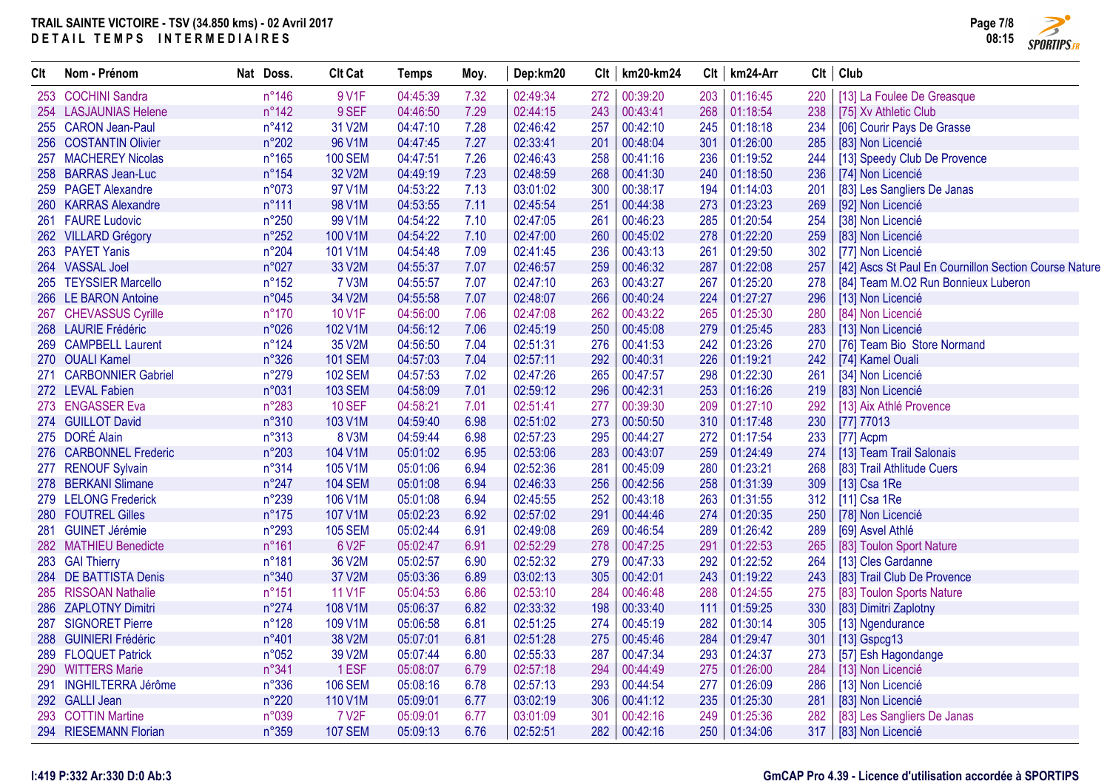

| Clt | Nom - Prénom           | Nat Doss.       | <b>Clt Cat</b> | <b>Temps</b> | Moy. | Dep:km20 |     | $Clt$   km20-km24 | Clt | km24-Arr     | Clt | Club                                                  |
|-----|------------------------|-----------------|----------------|--------------|------|----------|-----|-------------------|-----|--------------|-----|-------------------------------------------------------|
|     | 253 COCHINI Sandra     | $n^{\circ}$ 146 | 9 V1F          | 04:45:39     | 7.32 | 02:49:34 | 272 | 00:39:20          | 203 | 01:16:45     | 220 | [13] La Foulee De Greasque                            |
|     | 254 LASJAUNIAS Helene  | $n^{\circ}$ 142 | 9 SEF          | 04:46:50     | 7.29 | 02:44:15 | 243 | 00:43:41          | 268 | 01:18:54     | 238 | [75] Xv Athletic Club                                 |
|     | 255 CARON Jean-Paul    | $n^{\circ}412$  | 31 V2M         | 04:47:10     | 7.28 | 02:46:42 | 257 | 00:42:10          | 245 | 01:18:18     | 234 | [06] Courir Pays De Grasse                            |
|     | 256 COSTANTIN Olivier  | n°202           | 96 V1M         | 04:47:45     | 7.27 | 02:33:41 | 201 | 00:48:04          | 301 | 01:26:00     | 285 | [83] Non Licencié                                     |
|     | 257 MACHEREY Nicolas   | n°165           | <b>100 SEM</b> | 04:47:51     | 7.26 | 02:46:43 | 258 | 00:41:16          | 236 | 01:19:52     | 244 | [13] Speedy Club De Provence                          |
|     | 258 BARRAS Jean-Luc    | $n^{\circ}154$  | 32 V2M         | 04:49:19     | 7.23 | 02:48:59 | 268 | 00:41:30          | 240 | 01:18:50     | 236 | [74] Non Licencié                                     |
|     | 259 PAGET Alexandre    | n°073           | 97 V1M         | 04:53:22     | 7.13 | 03:01:02 | 300 | 00:38:17          | 194 | 01:14:03     | 201 | [83] Les Sangliers De Janas                           |
|     | 260 KARRAS Alexandre   | $n^{\circ}111$  | 98 V1M         | 04:53:55     | 7.11 | 02:45:54 | 251 | 00:44:38          | 273 | 01:23:23     | 269 | [92] Non Licencié                                     |
|     | 261 FAURE Ludovic      | n°250           | 99 V1M         | 04:54:22     | 7.10 | 02:47:05 | 261 | 00:46:23          | 285 | 01:20:54     | 254 | [38] Non Licencié                                     |
|     | 262 VILLARD Grégory    | n°252           | 100 V1M        | 04:54:22     | 7.10 | 02:47:00 | 260 | 00:45:02          | 278 | 01:22:20     | 259 | [83] Non Licencié                                     |
|     | 263 PAYET Yanis        | n°204           | 101 V1M        | 04:54:48     | 7.09 | 02:41:45 | 236 | 00:43:13          | 261 | 01:29:50     | 302 | [77] Non Licencié                                     |
|     | 264 VASSAL Joel        | n°027           | 33 V2M         | 04:55:37     | 7.07 | 02:46:57 | 259 | 00:46:32          | 287 | 01:22:08     | 257 | [42] Ascs St Paul En Cournillon Section Course Nature |
|     | 265 TEYSSIER Marcello  | n°152           | 7 V3M          | 04:55:57     | 7.07 | 02:47:10 | 263 | 00:43:27          | 267 | 01:25:20     | 278 | [84] Team M.O2 Run Bonnieux Luberon                   |
|     | 266 LE BARON Antoine   | n°045           | 34 V2M         | 04:55:58     | 7.07 | 02:48:07 | 266 | 00:40:24          | 224 | 01:27:27     | 296 | [13] Non Licencié                                     |
|     | 267 CHEVASSUS Cyrille  | $n^{\circ}170$  | 10 V1F         | 04:56:00     | 7.06 | 02:47:08 | 262 | 00:43:22          | 265 | 01:25:30     | 280 | [84] Non Licencié                                     |
|     | 268 LAURIE Frédéric    | n°026           | 102 V1M        | 04:56:12     | 7.06 | 02:45:19 | 250 | 00:45:08          | 279 | 01:25:45     | 283 | [13] Non Licencié                                     |
|     | 269 CAMPBELL Laurent   | $n^{\circ}124$  | 35 V2M         | 04:56:50     | 7.04 | 02:51:31 | 276 | 00:41:53          | 242 | 01:23:26     | 270 | [76] Team Bio Store Normand                           |
|     | 270 OUALI Kamel        | n°326           | <b>101 SEM</b> | 04:57:03     | 7.04 | 02:57:11 | 292 | 00:40:31          | 226 | 01:19:21     | 242 | [74] Kamel Ouali                                      |
|     | 271 CARBONNIER Gabriel | n°279           | <b>102 SEM</b> | 04:57:53     | 7.02 | 02:47:26 | 265 | 00:47:57          | 298 | 01:22:30     | 261 | [34] Non Licencié                                     |
|     | 272 LEVAL Fabien       | n°031           | <b>103 SEM</b> | 04:58:09     | 7.01 | 02:59:12 | 296 | 00:42:31          | 253 | 01:16:26     | 219 | [83] Non Licencié                                     |
|     | 273 ENGASSER Eva       | n°283           | <b>10 SEF</b>  | 04:58:21     | 7.01 | 02:51:41 | 277 | 00:39:30          | 209 | 01:27:10     | 292 | [13] Aix Athlé Provence                               |
|     | 274 GUILLOT David      | n°310           | 103 V1M        | 04:59:40     | 6.98 | 02:51:02 | 273 | 00:50:50          | 310 | 01:17:48     | 230 | [77] 77013                                            |
|     | 275 DORÉ Alain         | n°313           | <b>8 V3M</b>   | 04:59:44     | 6.98 | 02:57:23 | 295 | 00:44:27          | 272 | 01:17:54     | 233 | [77] Acpm                                             |
|     | 276 CARBONNEL Frederic | n°203           | 104 V1M        | 05:01:02     | 6.95 | 02:53:06 | 283 | 00:43:07          | 259 | 01:24:49     | 274 | [13] Team Trail Salonais                              |
|     | 277 RENOUF Sylvain     | n°314           | 105 V1M        | 05:01:06     | 6.94 | 02:52:36 | 281 | 00:45:09          | 280 | 01:23:21     | 268 | [83] Trail Athlitude Cuers                            |
|     | 278 BERKANI Slimane    | $n^{\circ}247$  | <b>104 SEM</b> | 05:01:08     | 6.94 | 02:46:33 | 256 | 00:42:56          | 258 | 01:31:39     | 309 | [13] Csa 1Re                                          |
|     | 279 LELONG Frederick   | n°239           | 106 V1M        | 05:01:08     | 6.94 | 02:45:55 | 252 | 00:43:18          | 263 | 01:31:55     | 312 | [11] Csa 1Re                                          |
|     | 280 FOUTREL Gilles     | $n^{\circ}175$  | 107 V1M        | 05:02:23     | 6.92 | 02:57:02 | 291 | 00:44:46          | 274 | 01:20:35     | 250 | [78] Non Licencié                                     |
|     | 281 GUINET Jérémie     | n°293           | <b>105 SEM</b> | 05:02:44     | 6.91 | 02:49:08 | 269 | 00:46:54          | 289 | 01:26:42     | 289 | [69] Asvel Athlé                                      |
|     | 282 MATHIEU Benedicte  | n°161           | 6 V2F          | 05:02:47     | 6.91 | 02:52:29 | 278 | 00:47:25          | 291 | 01:22:53     | 265 | [83] Toulon Sport Nature                              |
|     | 283 GAI Thierry        | n°181           | 36 V2M         | 05:02:57     | 6.90 | 02:52:32 | 279 | 00:47:33          | 292 | 01:22:52     | 264 | [13] Cles Gardanne                                    |
|     | 284 DE BATTISTA Denis  | n°340           | 37 V2M         | 05:03:36     | 6.89 | 03:02:13 | 305 | 00:42:01          | 243 | 01:19:22     | 243 | [83] Trail Club De Provence                           |
|     | 285 RISSOAN Nathalie   | $n^{\circ}151$  | 11 V1F         | 05:04:53     | 6.86 | 02:53:10 | 284 | 00:46:48          | 288 | 01:24:55     | 275 | [83] Toulon Sports Nature                             |
|     | 286 ZAPLOTNY Dimitri   | $n^{\circ}274$  | 108 V1M        | 05:06:37     | 6.82 | 02:33:32 | 198 | 00:33:40          | 111 | 01:59:25     | 330 | [83] Dimitri Zaplotny                                 |
|     | 287 SIGNORET Pierre    | $n^{\circ}128$  | 109 V1M        | 05:06:58     | 6.81 | 02:51:25 | 274 | 00:45:19          | 282 | 01:30:14     | 305 | [13] Ngendurance                                      |
|     | 288 GUINIERI Frédéric  | n°401           | 38 V2M         | 05:07:01     | 6.81 | 02:51:28 | 275 | 00:45:46          | 284 | 01:29:47     | 301 | [13] Gspcg13                                          |
|     | 289 FLOQUET Patrick    | n°052           | 39 V2M         | 05:07:44     | 6.80 | 02:55:33 | 287 | 00:47:34          | 293 | 01:24:37     | 273 | [57] Esh Hagondange                                   |
|     | 290 WITTERS Marie      | n°341           | 1 ESF          | 05:08:07     | 6.79 | 02:57:18 | 294 | 00:44:49          | 275 | 01:26:00     | 284 | [13] Non Licencié                                     |
|     | 291 INGHILTERRA Jérôme | n°336           | <b>106 SEM</b> | 05:08:16     | 6.78 | 02:57:13 | 293 | 00:44:54          | 277 | 01:26:09     | 286 | [13] Non Licencié                                     |
|     | 292 GALLI Jean         | n°220           | 110 V1M        | 05:09:01     | 6.77 | 03:02:19 | 306 | 00:41:12          | 235 | 01:25:30     | 281 | [83] Non Licencié                                     |
|     | 293 COTTIN Martine     | n°039           | <b>7 V2F</b>   | 05:09:01     | 6.77 | 03:01:09 | 301 | 00:42:16          | 249 | 01:25:36     | 282 | [83] Les Sangliers De Janas                           |
|     | 294 RIESEMANN Florian  | n°359           | <b>107 SEM</b> | 05:09:13     | 6.76 | 02:52:51 | 282 | 00:42:16          |     | 250 01:34:06 | 317 | [83] Non Licencié                                     |